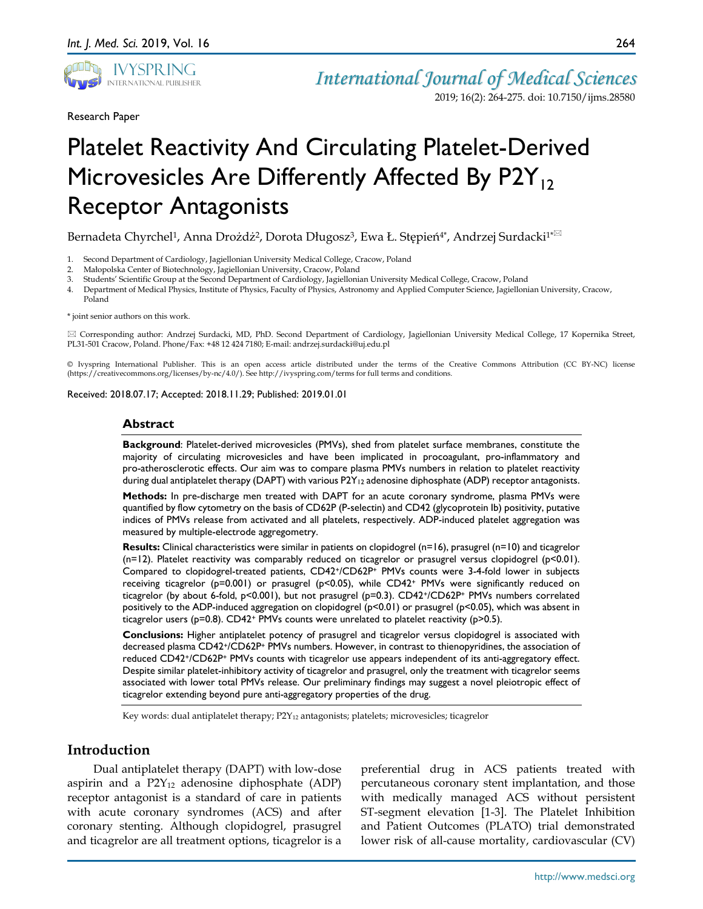

Research Paper

2019; 16(2): 264-275. doi: 10.7150/ijms.28580

# Platelet Reactivity And Circulating Platelet-Derived Microvesicles Are Differently Affected By P2Y<sub>12</sub> Receptor Antagonists

Bernadeta Chyrchel<sup>1</sup>, Anna Drożdż<sup>2</sup>, Dorota Długosz<sup>3</sup>, Ewa Ł. Stępień<sup>4\*</sup>, Andrzej Surdacki<sup>1\* $\approx$ </sup>

- 1. Second Department of Cardiology, Jagiellonian University Medical College, Cracow, Poland
- 2. Małopolska Center of Biotechnology, Jagiellonian University, Cracow, Poland
- 3. Students' Scientific Group at the Second Department of Cardiology, Jagiellonian University Medical College, Cracow, Poland
- 4. Department of Medical Physics, Institute of Physics, Faculty of Physics, Astronomy and Applied Computer Science, Jagiellonian University, Cracow, Poland

\* joint senior authors on this work.

 Corresponding author: Andrzej Surdacki, MD, PhD. Second Department of Cardiology, Jagiellonian University Medical College, 17 Kopernika Street, PL31-501 Cracow, Poland. Phone/Fax: +48 12 424 7180; E-mail: andrzej.surdacki@uj.edu.pl

© Ivyspring International Publisher. This is an open access article distributed under the terms of the Creative Commons Attribution (CC BY-NC) license (https://creativecommons.org/licenses/by-nc/4.0/). See http://ivyspring.com/terms for full terms and conditions.

Received: 2018.07.17; Accepted: 2018.11.29; Published: 2019.01.01

#### **Abstract**

**Background**: Platelet-derived microvesicles (PMVs), shed from platelet surface membranes, constitute the majority of circulating microvesicles and have been implicated in procoagulant, pro-inflammatory and pro-atherosclerotic effects. Our aim was to compare plasma PMVs numbers in relation to platelet reactivity during dual antiplatelet therapy (DAPT) with various P2Y<sub>12</sub> adenosine diphosphate (ADP) receptor antagonists.

**Methods:** In pre-discharge men treated with DAPT for an acute coronary syndrome, plasma PMVs were quantified by flow cytometry on the basis of CD62P (P-selectin) and CD42 (glycoprotein Ib) positivity, putative indices of PMVs release from activated and all platelets, respectively. ADP-induced platelet aggregation was measured by multiple-electrode aggregometry.

**Results:** Clinical characteristics were similar in patients on clopidogrel (n=16), prasugrel (n=10) and ticagrelor  $(n=12)$ . Platelet reactivity was comparably reduced on ticagrelor or prasugrel versus clopidogrel (p<0.01). Compared to clopidogrel-treated patients, CD42+/CD62P+ PMVs counts were 3-4-fold lower in subjects receiving ticagrelor (p=0.001) or prasugrel (p<0.05), while CD42<sup>+</sup> PMVs were significantly reduced on ticagrelor (by about 6-fold, p<0.001), but not prasugrel (p=0.3). CD42+/CD62P+ PMVs numbers correlated positively to the ADP-induced aggregation on clopidogrel (p<0.01) or prasugrel (p<0.05), which was absent in ticagrelor users ( $p=0.8$ ). CD42<sup>+</sup> PMVs counts were unrelated to platelet reactivity ( $p>0.5$ ).

**Conclusions:** Higher antiplatelet potency of prasugrel and ticagrelor versus clopidogrel is associated with decreased plasma CD42+/CD62P+ PMVs numbers. However, in contrast to thienopyridines, the association of reduced CD42+/CD62P+ PMVs counts with ticagrelor use appears independent of its anti-aggregatory effect. Despite similar platelet-inhibitory activity of ticagrelor and prasugrel, only the treatment with ticagrelor seems associated with lower total PMVs release. Our preliminary findings may suggest a novel pleiotropic effect of ticagrelor extending beyond pure anti-aggregatory properties of the drug.

Key words: dual antiplatelet therapy; P2Y<sub>12</sub> antagonists; platelets; microvesicles; ticagrelor

## **Introduction**

Dual antiplatelet therapy (DAPT) with low-dose aspirin and a  $P2Y_{12}$  adenosine diphosphate (ADP) receptor antagonist is a standard of care in patients with acute coronary syndromes (ACS) and after coronary stenting. Although clopidogrel, prasugrel and ticagrelor are all treatment options, ticagrelor is a preferential drug in ACS patients treated with percutaneous coronary stent implantation, and those with medically managed ACS without persistent ST-segment elevation [1-3]. The Platelet Inhibition and Patient Outcomes (PLATO) trial demonstrated lower risk of all-cause mortality, cardiovascular (CV)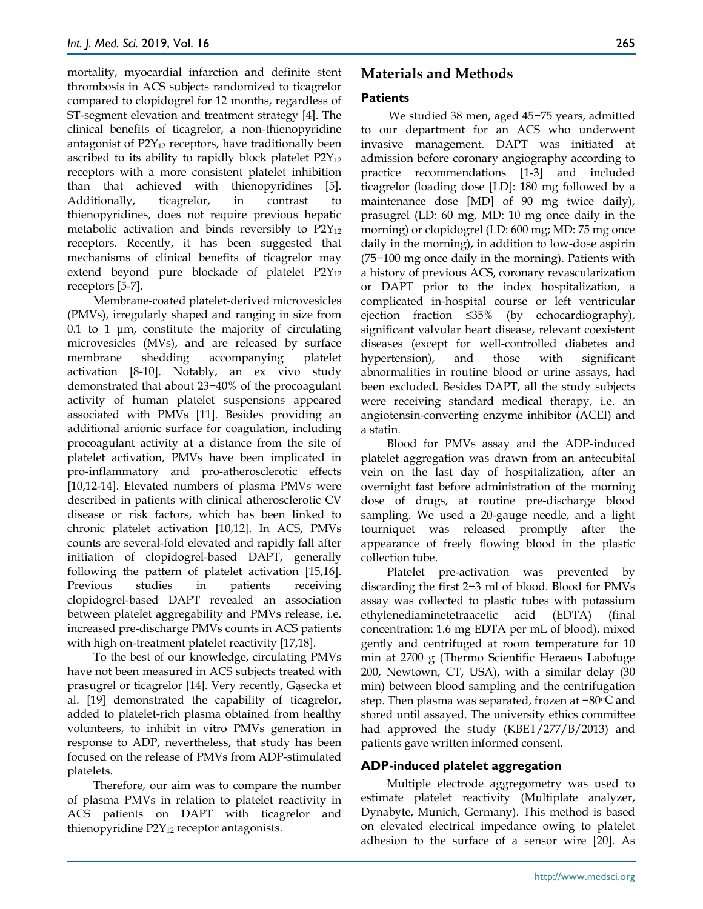mortality, myocardial infarction and definite stent thrombosis in ACS subjects randomized to ticagrelor compared to clopidogrel for 12 months, regardless of ST-segment elevation and treatment strategy [4]. The clinical benefits of ticagrelor, a non-thienopyridine antagonist of  $P2Y_{12}$  receptors, have traditionally been ascribed to its ability to rapidly block platelet  $P2Y_{12}$ receptors with a more consistent platelet inhibition than that achieved with thienopyridines [5]. Additionally, ticagrelor, in contrast to thienopyridines, does not require previous hepatic metabolic activation and binds reversibly to  $P2Y_{12}$ receptors. Recently, it has been suggested that mechanisms of clinical benefits of ticagrelor may extend beyond pure blockade of platelet  $P2Y_{12}$ receptors [5-7].

Membrane-coated platelet-derived microvesicles (PMVs), irregularly shaped and ranging in size from 0.1 to 1  $\mu$ m, constitute the majority of circulating microvesicles (MVs), and are released by surface membrane shedding accompanying platelet activation [8-10]. Notably, an ex vivo study demonstrated that about 23−40% of the procoagulant activity of human platelet suspensions appeared associated with PMVs [11]. Besides providing an additional anionic surface for coagulation, including procoagulant activity at a distance from the site of platelet activation, PMVs have been implicated in pro-inflammatory and pro-atherosclerotic effects [10,12-14]. Elevated numbers of plasma PMVs were described in patients with clinical atherosclerotic CV disease or risk factors, which has been linked to chronic platelet activation [10,12]. In ACS, PMVs counts are several-fold elevated and rapidly fall after initiation of clopidogrel-based DAPT, generally following the pattern of platelet activation [15,16]. Previous studies in patients receiving clopidogrel-based DAPT revealed an association between platelet aggregability and PMVs release, i.e. increased pre-discharge PMVs counts in ACS patients with high on-treatment platelet reactivity [17,18].

To the best of our knowledge, circulating PMVs have not been measured in ACS subjects treated with prasugrel or ticagrelor [14]. Very recently, Gąsecka et al. [19] demonstrated the capability of ticagrelor, added to platelet-rich plasma obtained from healthy volunteers, to inhibit in vitro PMVs generation in response to ADP, nevertheless, that study has been focused on the release of PMVs from ADP-stimulated platelets.

Therefore, our aim was to compare the number of plasma PMVs in relation to platelet reactivity in ACS patients on DAPT with ticagrelor and thienopyridine  $P2Y_{12}$  receptor antagonists.

# **Materials and Methods**

#### **Patients**

We studied 38 men, aged 45−75 years, admitted to our department for an ACS who underwent invasive management. DAPT was initiated at admission before coronary angiography according to practice recommendations [1-3] and included ticagrelor (loading dose [LD]: 180 mg followed by a maintenance dose [MD] of 90 mg twice daily), prasugrel (LD: 60 mg, MD: 10 mg once daily in the morning) or clopidogrel (LD: 600 mg; MD: 75 mg once daily in the morning), in addition to low-dose aspirin (75−100 mg once daily in the morning). Patients with a history of previous ACS, coronary revascularization or DAPT prior to the index hospitalization, a complicated in-hospital course or left ventricular ejection fraction ≤35% (by echocardiography), significant valvular heart disease, relevant coexistent diseases (except for well-controlled diabetes and hypertension), and those with significant abnormalities in routine blood or urine assays, had been excluded. Besides DAPT, all the study subjects were receiving standard medical therapy, i.e. an angiotensin-converting enzyme inhibitor (ACEI) and a statin.

Blood for PMVs assay and the ADP-induced platelet aggregation was drawn from an antecubital vein on the last day of hospitalization, after an overnight fast before administration of the morning dose of drugs, at routine pre-discharge blood sampling. We used a 20-gauge needle, and a light tourniquet was released promptly after the appearance of freely flowing blood in the plastic collection tube.

Platelet pre-activation was prevented by discarding the first 2−3 ml of blood. Blood for PMVs assay was collected to plastic tubes with potassium ethylenediaminetetraacetic acid (EDTA) (final concentration: 1.6 mg EDTA per mL of blood), mixed gently and centrifuged at room temperature for 10 min at 2700 g (Thermo Scientific Heraeus Labofuge 200, Newtown, CT, USA), with a similar delay (30 min) between blood sampling and the centrifugation step. Then plasma was separated, frozen at −80 °C and stored until assayed. The university ethics committee had approved the study (KBET/277/B/2013) and patients gave written informed consent.

#### **ADP-induced platelet aggregation**

Multiple electrode aggregometry was used to estimate platelet reactivity (Multiplate analyzer, Dynabyte, Munich, Germany). This method is based on elevated electrical impedance owing to platelet adhesion to the surface of a sensor wire [20]. As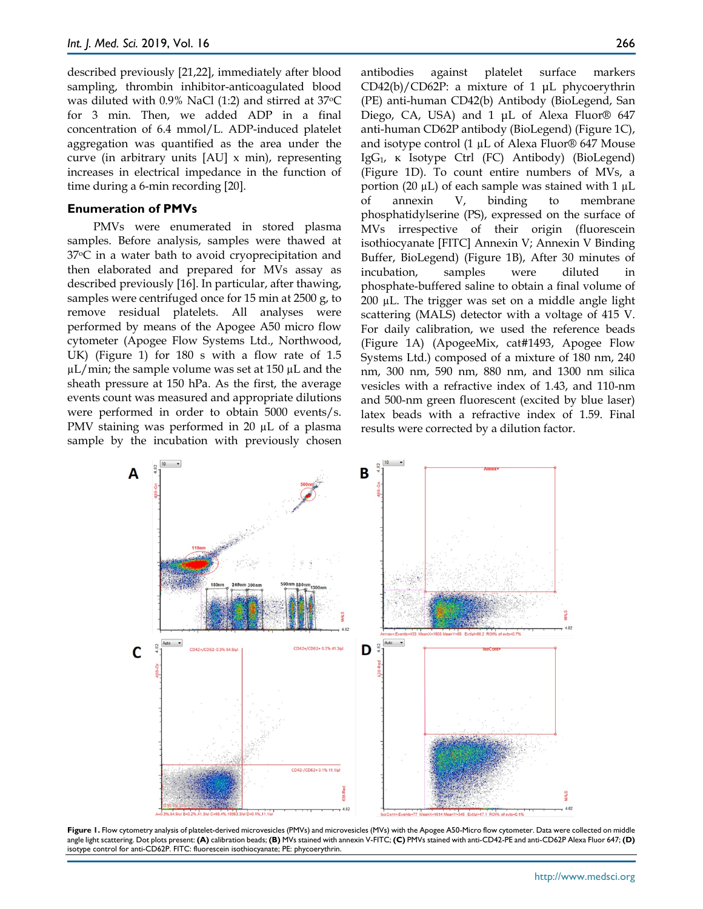described previously [21,22], immediately after blood sampling, thrombin inhibitor-anticoagulated blood was diluted with 0.9% NaCl (1:2) and stirred at 37oC for 3 min. Then, we added ADP in a final concentration of 6.4 mmol/L. ADP-induced platelet aggregation was quantified as the area under the curve (in arbitrary units [AU] x min), representing increases in electrical impedance in the function of time during a 6-min recording [20].

#### **Enumeration of PMVs**

PMVs were enumerated in stored plasma samples. Before analysis, samples were thawed at 37oC in a water bath to avoid cryoprecipitation and then elaborated and prepared for MVs assay as described previously [16]. In particular, after thawing, samples were centrifuged once for 15 min at 2500 g, to remove residual platelets. All analyses were performed by means of the Apogee A50 micro flow cytometer (Apogee Flow Systems Ltd., Northwood, UK) (Figure 1) for 180 s with a flow rate of 1.5  $\mu$ L/min; the sample volume was set at 150  $\mu$ L and the sheath pressure at 150 hPa. As the first, the average events count was measured and appropriate dilutions were performed in order to obtain 5000 events/s. PMV staining was performed in 20 µL of a plasma sample by the incubation with previously chosen antibodies against platelet surface markers CD42(b)/CD62P: a mixture of 1 μL phycoerythrin (PE) anti-human CD42(b) Antibody (BioLegend, San Diego, CA, USA) and 1 μL of Alexa Fluor® 647 anti-human CD62P antibody (BioLegend) (Figure 1C), and isotype control (1 µL of Alexa Fluor® 647 Mouse IgG1, κ Isotype Ctrl (FC) Antibody) (BioLegend) (Figure 1D). To count entire numbers of MVs, a portion (20  $\mu$ L) of each sample was stained with 1  $\mu$ L of annexin V, binding to membrane phosphatidylserine (PS), expressed on the surface of MVs irrespective of their origin (fluorescein isothiocyanate [FITC] Annexin V; Annexin V Binding Buffer, BioLegend) (Figure 1B), After 30 minutes of incubation, samples were diluted in phosphate-buffered saline to obtain a final volume of 200 µL. The trigger was set on a middle angle light scattering (MALS) detector with a voltage of 415 V. For daily calibration, we used the reference beads (Figure 1A) (ApogeeMix, cat#1493, Apogee Flow Systems Ltd.) composed of a mixture of 180 nm, 240 nm, 300 nm, 590 nm, 880 nm, and 1300 nm silica vesicles with a refractive index of 1.43, and 110-nm and 500-nm green fluorescent (excited by blue laser) latex beads with a refractive index of 1.59. Final results were corrected by a dilution factor.



**Figure 1.** Flow cytometry analysis of platelet-derived microvesicles (PMVs) and microvesicles (MVs) with the Apogee A50-Micro flow cytometer. Data were collected on middle angle light scattering. Dot plots present: **(A)** calibration beads; **(B)** MVs stained with annexin V-FITC; **(C)** PMVs stained with anti-CD42-PE and anti-CD62P Alexa Fluor 647; **(D)** isotype control for anti-CD62P. FITC: fluorescein isothiocyanate; PE: phycoerythrin.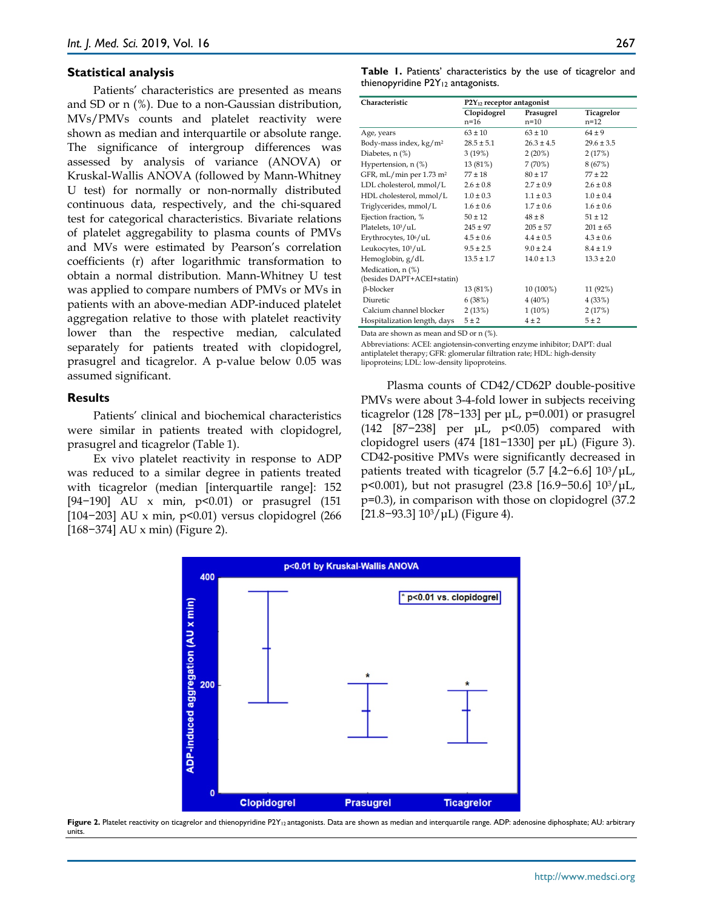#### **Statistical analysis**

Patients' characteristics are presented as means and SD or n (%). Due to a non-Gaussian distribution, MVs/PMVs counts and platelet reactivity were shown as median and interquartile or absolute range. The significance of intergroup differences was assessed by analysis of variance (ANOVA) or Kruskal-Wallis ANOVA (followed by Mann-Whitney U test) for normally or non-normally distributed continuous data, respectively, and the chi-squared test for categorical characteristics. Bivariate relations of platelet aggregability to plasma counts of PMVs and MVs were estimated by Pearson's correlation coefficients (r) after logarithmic transformation to obtain a normal distribution. Mann-Whitney U test was applied to compare numbers of PMVs or MVs in patients with an above-median ADP-induced platelet aggregation relative to those with platelet reactivity lower than the respective median, calculated separately for patients treated with clopidogrel, prasugrel and ticagrelor. A p-value below 0.05 was assumed significant.

#### **Results**

Patients' clinical and biochemical characteristics were similar in patients treated with clopidogrel, prasugrel and ticagrelor (Table 1).

Ex vivo platelet reactivity in response to ADP was reduced to a similar degree in patients treated with ticagrelor (median [interquartile range]: 152 [94-190] AU x min, p<0.01) or prasugrel (151 [104−203] AU x min, p<0.01) versus clopidogrel (266 [168−374] AU x min) (Figure 2).

**Table 1.** Patients' characteristics by the use of ticagrelor and thienopyridine P2Y12 antagonists.

| Characteristic                        | $P2Y_{12}$ receptor antagonist |                |                |
|---------------------------------------|--------------------------------|----------------|----------------|
|                                       | Clopidogrel                    | Prasugrel      | Ticagrelor     |
|                                       | $n = 16$                       | $n=10$         | $n = 12$       |
| Age, years                            | $63 \pm 10$                    | $63 \pm 10$    | $64 \pm 9$     |
| Body-mass index, kg/m <sup>2</sup>    | $28.5 \pm 5.1$                 | $26.3 \pm 4.5$ | $29.6 \pm 3.5$ |
| Diabetes, n (%)                       | 3(19%)                         | $2(20\%)$      | 2(17%)         |
| Hypertension, n (%)                   | 13 (81%)                       | 7(70%)         | 8 (67%)        |
| GFR, mL/min per $1.73$ m <sup>2</sup> | $77 \pm 18$                    | $80 \pm 17$    | $77 + 22$      |
| LDL cholesterol, mmol/L               | $2.6 \pm 0.8$                  | $2.7 \pm 0.9$  | $2.6 \pm 0.8$  |
| HDL cholesterol, mmol/L               | $1.0 \pm 0.3$                  | $1.1 \pm 0.3$  | $1.0 \pm 0.4$  |
| Triglycerides, mmol/L                 | $1.6 \pm 0.6$                  | $1.7 + 0.6$    | $1.6 \pm 0.6$  |
| Ejection fraction, %                  | $50 \pm 12$                    | $48 + 8$       | $51 + 12$      |
| Platelets, 10 <sup>3</sup> /uL        | $245 \pm 97$                   | $205 + 57$     | $201 \pm 65$   |
| Erythrocytes, 10 <sup>6</sup> /uL     | $4.5 \pm 0.6$                  | $4.4 \pm 0.5$  | $4.3 \pm 0.6$  |
| Leukocytes, 10 <sup>3</sup> /uL       | $9.5 \pm 2.5$                  | $9.0 + 2.4$    | $8.4 + 1.9$    |
| Hemoglobin, g/dL                      | $13.5 \pm 1.7$                 | $14.0 \pm 1.3$ | $13.3 \pm 2.0$ |
| Medication, $n$ (%)                   |                                |                |                |
| (besides DAPT+ACEI+statin)            |                                |                |                |
| β-blocker                             | 13 (81%)                       | 10 (100%)      | 11 (92%)       |
| Diuretic                              | 6 (38%)                        | $4(40\%)$      | 4 (33%)        |
| Calcium channel blocker               | 2(13%)                         | $1(10\%)$      | 2(17%)         |
| Hospitalization length, days          | $5 \pm 2$                      | $4 \pm 2$      | 5±2            |

Data are shown as mean and SD or n (%).

Abbreviations: ACEI: angiotensin-converting enzyme inhibitor; DAPT: dual antiplatelet therapy; GFR: glomerular filtration rate; HDL: high-density lipoproteins; LDL: low-density lipoproteins.

Plasma counts of CD42/CD62P double-positive PMVs were about 3-4-fold lower in subjects receiving ticagrelor (128 [78–133] per  $\mu$ L, p=0.001) or prasugrel (142 [87−238] per μL, p<0.05) compared with clopidogrel users (474 [181−1330] per μL) (Figure 3). CD42-positive PMVs were significantly decreased in patients treated with ticagrelor (5.7 [4.2–6.6]  $10^3/\mu L$ , p<0.001), but not prasugrel (23.8 [16.9−50.6] 103/μL, p=0.3), in comparison with those on clopidogrel (37.2 [21.8−93.3] 103/μL) (Figure 4).



Figure 2. Platelet reactivity on ticagrelor and thienopyridine P2Y<sub>12</sub> antagonists. Data are shown as median and interquartile range. ADP: adenosine diphosphate; AU: arbitrary units.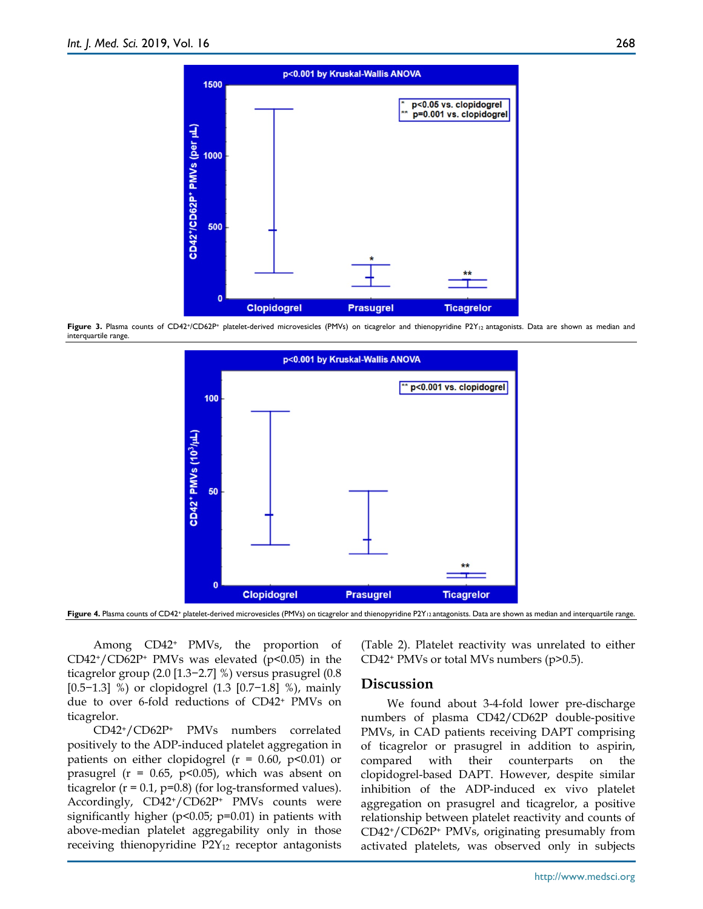

Figure 3. Plasma counts of CD42+/CD62P+ platelet-derived microvesicles (PMVs) on ticagrelor and thienopyridine P2Y<sub>12</sub> antagonists. Data are shown as median and interquartile range.



Figure 4. Plasma counts of CD42+ platelet-derived microvesicles (PMVs) on ticagrelor and thienopyridine P2Y<sub>12</sub> antagonists. Data are shown as median and interquartile range.

Among CD42+ PMVs, the proportion of  $CD42+/CD62P+PMVs$  was elevated (p<0.05) in the ticagrelor group (2.0 [1.3−2.7] %) versus prasugrel (0.8 [0.5−1.3] %) or clopidogrel (1.3 [0.7−1.8] %), mainly due to over 6-fold reductions of CD42+ PMVs on ticagrelor.

CD42+/CD62P+ PMVs numbers correlated positively to the ADP-induced platelet aggregation in patients on either clopidogrel ( $r = 0.60$ ,  $p < 0.01$ ) or prasugrel ( $r = 0.65$ ,  $p < 0.05$ ), which was absent on ticagrelor ( $r = 0.1$ ,  $p=0.8$ ) (for log-transformed values). Accordingly, CD42+/CD62P+ PMVs counts were significantly higher ( $p$ <0.05;  $p$ =0.01) in patients with above-median platelet aggregability only in those receiving thienopyridine P2Y<sub>12</sub> receptor antagonists

(Table 2). Platelet reactivity was unrelated to either CD42<sup>+</sup> PMVs or total MVs numbers (p>0.5).

#### **Discussion**

We found about 3-4-fold lower pre-discharge numbers of plasma CD42/CD62P double-positive PMVs, in CAD patients receiving DAPT comprising of ticagrelor or prasugrel in addition to aspirin, compared with their counterparts on the clopidogrel-based DAPT. However, despite similar inhibition of the ADP-induced ex vivo platelet aggregation on prasugrel and ticagrelor, a positive relationship between platelet reactivity and counts of CD42+/CD62P+ PMVs, originating presumably from activated platelets, was observed only in subjects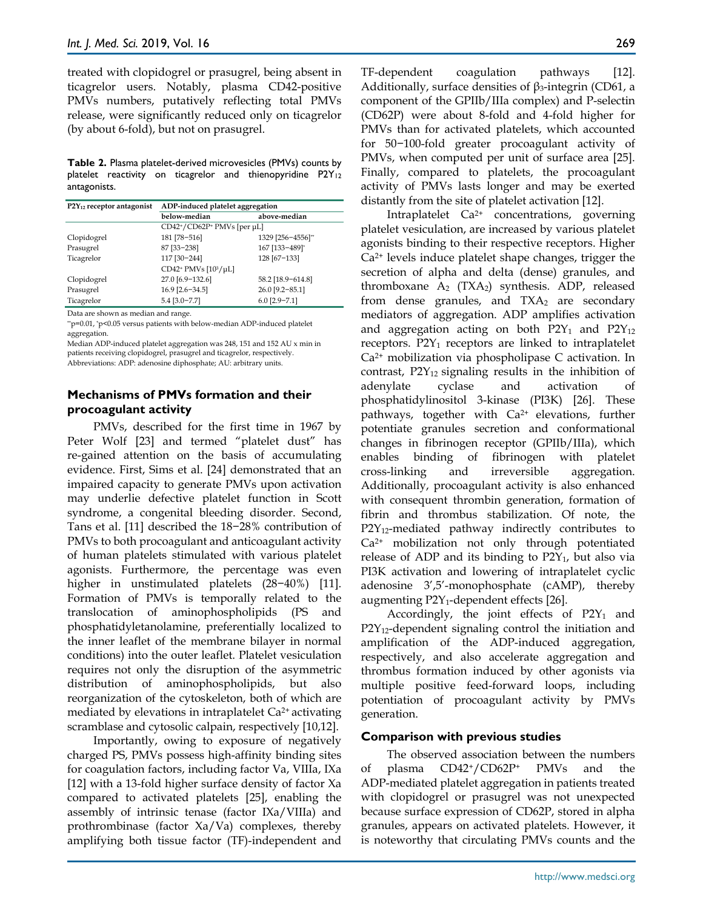treated with clopidogrel or prasugrel, being absent in ticagrelor users. Notably, plasma CD42-positive PMVs numbers, putatively reflecting total PMVs release, were significantly reduced only on ticagrelor (by about 6-fold), but not on prasugrel.

**Table 2.** Plasma platelet-derived microvesicles (PMVs) counts by platelet reactivity on ticagrelor and thienopyridine P2Y12 antagonists.

| P2Y <sub>12</sub> receptor antagonist | ADP-induced platelet aggregation      |                   |  |
|---------------------------------------|---------------------------------------|-------------------|--|
|                                       | below-median                          | above-median      |  |
|                                       | CD42+/CD62P+ PMVs [per µL]            |                   |  |
| Clopidogrel                           | 181 [78-516]                          | 1329 [256-4556]** |  |
| Prasugrel                             | 87 [33-238]                           | 167 [133-489]*    |  |
| Ticagrelor                            | 117 [30-244]                          | 128 [67-133]      |  |
|                                       | CD42 <sup>+</sup> PMVs $[10^3/\mu L]$ |                   |  |
| Clopidogrel                           | 27.0 [6.9-132.6]                      | 58.2 [18.9-614.8] |  |
| Prasugrel                             | $16.9$ [2.6-34.5]                     | 26.0 [9.2-85.1]   |  |
| Ticagrelor                            | $5.4$ [3.0-7.7]                       | $6.0$ [2.9-7.1]   |  |
|                                       |                                       |                   |  |

Data are shown as median and range.

\*\*p=0.01, \*p<0.05 versus patients with below-median ADP-induced platelet aggregation.

Median ADP-induced platelet aggregation was 248, 151 and 152 AU x min in patients receiving clopidogrel, prasugrel and ticagrelor, respectively. Abbreviations: ADP: adenosine diphosphate; AU: arbitrary units.

#### **Mechanisms of PMVs formation and their procoagulant activity**

PMVs, described for the first time in 1967 by Peter Wolf [23] and termed "platelet dust" has re-gained attention on the basis of accumulating evidence. First, Sims et al. [24] demonstrated that an impaired capacity to generate PMVs upon activation may underlie defective platelet function in Scott syndrome, a congenital bleeding disorder. Second, Tans et al. [11] described the 18−28% contribution of PMVs to both procoagulant and anticoagulant activity of human platelets stimulated with various platelet agonists. Furthermore, the percentage was even higher in unstimulated platelets (28−40%) [11]. Formation of PMVs is temporally related to the translocation of aminophospholipids (PS and phosphatidyletanolamine, preferentially localized to the inner leaflet of the membrane bilayer in normal conditions) into the outer leaflet. Platelet vesiculation requires not only the disruption of the asymmetric distribution of aminophospholipids, but also reorganization of the cytoskeleton, both of which are mediated by elevations in intraplatelet Ca2+ activating scramblase and cytosolic calpain, respectively [10,12].

Importantly, owing to exposure of negatively charged PS, PMVs possess high-affinity binding sites for coagulation factors, including factor Va, VIIIa, IXa [12] with a 13-fold higher surface density of factor Xa compared to activated platelets [25], enabling the assembly of intrinsic tenase (factor IXa/VIIIa) and prothrombinase (factor Xa/Va) complexes, thereby amplifying both tissue factor (TF)-independent and TF-dependent coagulation pathways [12]. Additionally, surface densities of  $\beta_3$ -integrin (CD61, a component of the GPIIb/IIIa complex) and P-selectin (CD62P) were about 8-fold and 4-fold higher for PMVs than for activated platelets, which accounted for 50−100-fold greater procoagulant activity of PMVs, when computed per unit of surface area [25]. Finally, compared to platelets, the procoagulant activity of PMVs lasts longer and may be exerted distantly from the site of platelet activation [12].

Intraplatelet Ca2+ concentrations, governing platelet vesiculation, are increased by various platelet agonists binding to their respective receptors. Higher Ca2+ levels induce platelet shape changes, trigger the secretion of alpha and delta (dense) granules, and thromboxane  $A_2$  (TXA<sub>2</sub>) synthesis. ADP, released from dense granules, and  $TXA_2$  are secondary mediators of aggregation. ADP amplifies activation and aggregation acting on both  $P2Y_1$  and  $P2Y_{12}$ receptors. P2Y<sub>1</sub> receptors are linked to intraplatelet Ca2+ mobilization via phospholipase C activation. In contrast,  $P2Y_{12}$  signaling results in the inhibition of adenylate cyclase and activation of phosphatidylinositol 3-kinase (PI3K) [26]. These pathways, together with  $Ca<sup>2+</sup>$  elevations, further potentiate granules secretion and conformational changes in fibrinogen receptor (GPIIb/IIIa), which enables binding of fibrinogen with platelet cross-linking and irreversible aggregation. Additionally, procoagulant activity is also enhanced with consequent thrombin generation, formation of fibrin and thrombus stabilization. Of note, the P2Y<sub>12</sub>-mediated pathway indirectly contributes to Ca2+ mobilization not only through potentiated release of ADP and its binding to  $P2Y_1$ , but also via PI3K activation and lowering of intraplatelet cyclic adenosine 3',5'-monophosphate (cAMP), thereby augmenting  $P2Y_1$ -dependent effects [26].

Accordingly, the joint effects of  $P2Y_1$  and P2Y<sub>12</sub>-dependent signaling control the initiation and amplification of the ADP-induced aggregation, respectively, and also accelerate aggregation and thrombus formation induced by other agonists via multiple positive feed-forward loops, including potentiation of procoagulant activity by PMVs generation.

#### **Comparison with previous studies**

The observed association between the numbers of plasma CD42+/CD62P+ PMVs and the ADP-mediated platelet aggregation in patients treated with clopidogrel or prasugrel was not unexpected because surface expression of CD62P, stored in alpha granules, appears on activated platelets. However, it is noteworthy that circulating PMVs counts and the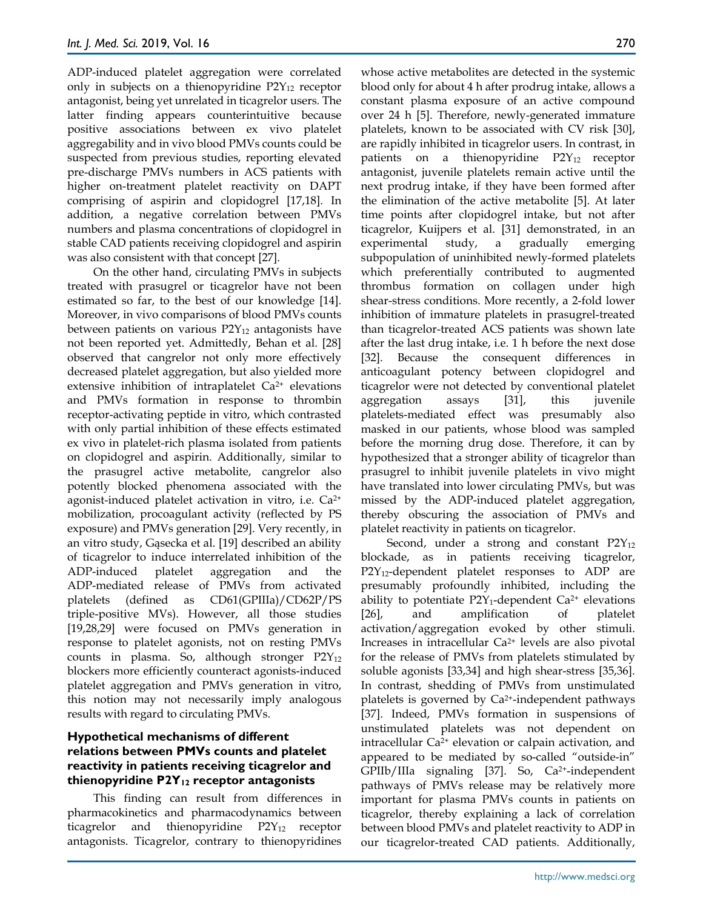ADP-induced platelet aggregation were correlated only in subjects on a thienopyridine  $P2Y_{12}$  receptor antagonist, being yet unrelated in ticagrelor users. The latter finding appears counterintuitive because positive associations between ex vivo platelet aggregability and in vivo blood PMVs counts could be suspected from previous studies, reporting elevated pre-discharge PMVs numbers in ACS patients with higher on-treatment platelet reactivity on DAPT comprising of aspirin and clopidogrel [17,18]. In addition, a negative correlation between PMVs numbers and plasma concentrations of clopidogrel in stable CAD patients receiving clopidogrel and aspirin was also consistent with that concept [27].

On the other hand, circulating PMVs in subjects treated with prasugrel or ticagrelor have not been estimated so far, to the best of our knowledge [14]. Moreover, in vivo comparisons of blood PMVs counts between patients on various  $P2Y_{12}$  antagonists have not been reported yet. Admittedly, Behan et al. [28] observed that cangrelor not only more effectively decreased platelet aggregation, but also yielded more extensive inhibition of intraplatelet Ca<sup>2+</sup> elevations and PMVs formation in response to thrombin receptor-activating peptide in vitro, which contrasted with only partial inhibition of these effects estimated ex vivo in platelet-rich plasma isolated from patients on clopidogrel and aspirin. Additionally, similar to the prasugrel active metabolite, cangrelor also potently blocked phenomena associated with the agonist-induced platelet activation in vitro, i.e. Ca2+ mobilization, procoagulant activity (reflected by PS exposure) and PMVs generation [29]. Very recently, in an vitro study, Gąsecka et al. [19] described an ability of ticagrelor to induce interrelated inhibition of the ADP-induced platelet aggregation and the ADP-mediated release of PMVs from activated platelets (defined as CD61(GPIIIa)/CD62P/PS triple-positive MVs). However, all those studies [19,28,29] were focused on PMVs generation in response to platelet agonists, not on resting PMVs counts in plasma. So, although stronger  $P2Y_{12}$ blockers more efficiently counteract agonists-induced platelet aggregation and PMVs generation in vitro, this notion may not necessarily imply analogous results with regard to circulating PMVs.

#### **Hypothetical mechanisms of different relations between PMVs counts and platelet reactivity in patients receiving ticagrelor and thienopyridine P2Y12 receptor antagonists**

This finding can result from differences in pharmacokinetics and pharmacodynamics between ticagrelor and thienopyridine P2Y<sub>12</sub> receptor antagonists. Ticagrelor, contrary to thienopyridines

whose active metabolites are detected in the systemic blood only for about 4 h after prodrug intake, allows a constant plasma exposure of an active compound over 24 h [5]. Therefore, newly-generated immature platelets, known to be associated with CV risk [30], are rapidly inhibited in ticagrelor users. In contrast, in patients on a thienopyridine P2Y<sub>12</sub> receptor antagonist, juvenile platelets remain active until the next prodrug intake, if they have been formed after the elimination of the active metabolite [5]. At later time points after clopidogrel intake, but not after ticagrelor, Kuijpers et al. [31] demonstrated, in an experimental study, a gradually emerging subpopulation of uninhibited newly-formed platelets which preferentially contributed to augmented thrombus formation on collagen under high shear-stress conditions. More recently, a 2-fold lower inhibition of immature platelets in prasugrel-treated than ticagrelor-treated ACS patients was shown late after the last drug intake, i.e. 1 h before the next dose [32]. Because the consequent differences in anticoagulant potency between clopidogrel and ticagrelor were not detected by conventional platelet aggregation assays [31], this juvenile platelets-mediated effect was presumably also masked in our patients, whose blood was sampled before the morning drug dose. Therefore, it can by hypothesized that a stronger ability of ticagrelor than prasugrel to inhibit juvenile platelets in vivo might have translated into lower circulating PMVs, but was missed by the ADP-induced platelet aggregation, thereby obscuring the association of PMVs and platelet reactivity in patients on ticagrelor.

Second, under a strong and constant  $P2Y_{12}$ blockade, as in patients receiving ticagrelor, P2Y12-dependent platelet responses to ADP are presumably profoundly inhibited, including the ability to potentiate  $P2Y_1$ -dependent Ca<sup>2+</sup> elevations [26], and amplification of platelet activation/aggregation evoked by other stimuli. Increases in intracellular Ca2+ levels are also pivotal for the release of PMVs from platelets stimulated by soluble agonists [33,34] and high shear-stress [35,36]. In contrast, shedding of PMVs from unstimulated platelets is governed by Ca2+-independent pathways [37]. Indeed, PMVs formation in suspensions of unstimulated platelets was not dependent on intracellular Ca2+ elevation or calpain activation, and appeared to be mediated by so-called "outside-in" GPIIb/IIIa signaling [37]. So, Ca2+-independent pathways of PMVs release may be relatively more important for plasma PMVs counts in patients on ticagrelor, thereby explaining a lack of correlation between blood PMVs and platelet reactivity to ADP in our ticagrelor-treated CAD patients. Additionally,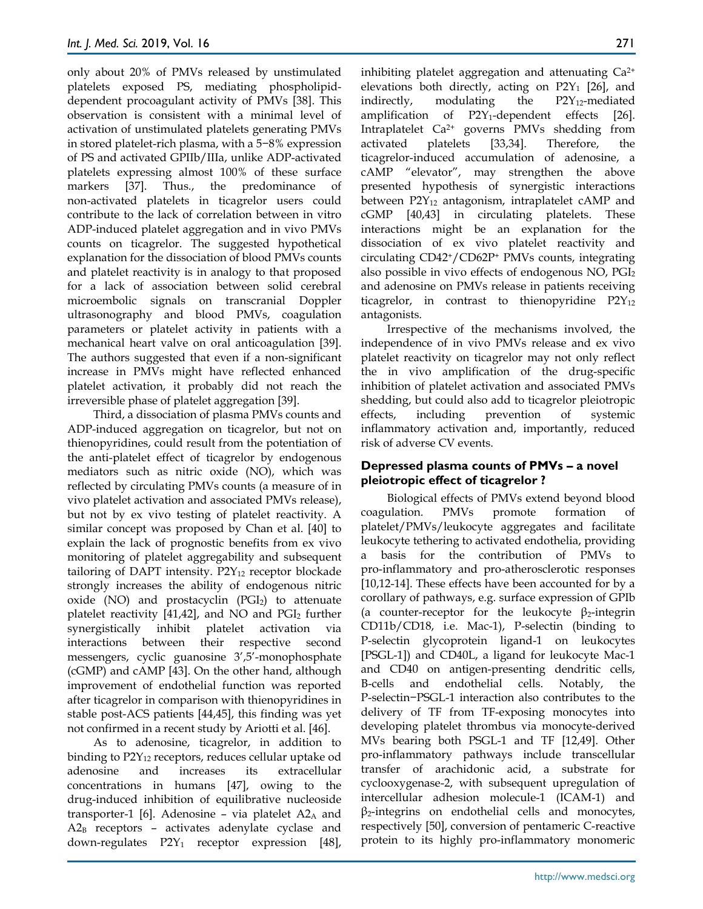only about 20% of PMVs released by unstimulated platelets exposed PS, mediating phospholipiddependent procoagulant activity of PMVs [38]. This observation is consistent with a minimal level of activation of unstimulated platelets generating PMVs in stored platelet-rich plasma, with a 5−8% expression of PS and activated GPIIb/IIIa, unlike ADP-activated platelets expressing almost 100% of these surface markers [37]. Thus., the predominance of non-activated platelets in ticagrelor users could contribute to the lack of correlation between in vitro ADP-induced platelet aggregation and in vivo PMVs counts on ticagrelor. The suggested hypothetical explanation for the dissociation of blood PMVs counts and platelet reactivity is in analogy to that proposed for a lack of association between solid cerebral microembolic signals on transcranial Doppler ultrasonography and blood PMVs, coagulation parameters or platelet activity in patients with a mechanical heart valve on oral anticoagulation [39]. The authors suggested that even if a non-significant increase in PMVs might have reflected enhanced platelet activation, it probably did not reach the irreversible phase of platelet aggregation [39].

Third, a dissociation of plasma PMVs counts and ADP-induced aggregation on ticagrelor, but not on thienopyridines, could result from the potentiation of the anti-platelet effect of ticagrelor by endogenous mediators such as nitric oxide (NO), which was reflected by circulating PMVs counts (a measure of in vivo platelet activation and associated PMVs release), but not by ex vivo testing of platelet reactivity. A similar concept was proposed by Chan et al. [40] to explain the lack of prognostic benefits from ex vivo monitoring of platelet aggregability and subsequent tailoring of DAPT intensity.  $P2Y_{12}$  receptor blockade strongly increases the ability of endogenous nitric oxide (NO) and prostacyclin  $(PGI<sub>2</sub>)$  to attenuate platelet reactivity [41,42], and NO and  $PGI<sub>2</sub>$  further synergistically inhibit platelet activation via interactions between their respective second messengers, cyclic guanosine 3',5'-monophosphate (cGMP) and cAMP [43]. On the other hand, although improvement of endothelial function was reported after ticagrelor in comparison with thienopyridines in stable post-ACS patients [44,45], this finding was yet not confirmed in a recent study by Ariotti et al. [46].

As to adenosine, ticagrelor, in addition to binding to  $P2Y_{12}$  receptors, reduces cellular uptake od adenosine and increases its extracellular concentrations in humans [47], owing to the drug-induced inhibition of equilibrative nucleoside transporter-1 [6]. Adenosine – via platelet  $A2_A$  and A2B receptors – activates adenylate cyclase and down-regulates P2Y<sub>1</sub> receptor expression [48], inhibiting platelet aggregation and attenuating  $Ca^{2+}$ elevations both directly, acting on  $P2Y_1$  [26], and indirectly, modulating the  $P2Y_{12}$ -mediated amplification of  $P2Y_1$ -dependent effects [26]. Intraplatelet Ca2+ governs PMVs shedding from activated platelets [33,34]. Therefore, the ticagrelor-induced accumulation of adenosine, a cAMP "elevator", may strengthen the above presented hypothesis of synergistic interactions between  $P2Y_{12}$  antagonism, intraplatelet cAMP and cGMP [40,43] in circulating platelets. These interactions might be an explanation for the dissociation of ex vivo platelet reactivity and circulating CD42+/CD62P+ PMVs counts, integrating also possible in vivo effects of endogenous NO, PGI<sup>2</sup> and adenosine on PMVs release in patients receiving ticagrelor, in contrast to thienopyridine  $P2Y_{12}$ antagonists.

Irrespective of the mechanisms involved, the independence of in vivo PMVs release and ex vivo platelet reactivity on ticagrelor may not only reflect the in vivo amplification of the drug-specific inhibition of platelet activation and associated PMVs shedding, but could also add to ticagrelor pleiotropic effects, including prevention of systemic inflammatory activation and, importantly, reduced risk of adverse CV events.

#### **Depressed plasma counts of PMVs – a novel pleiotropic effect of ticagrelor ?**

Biological effects of PMVs extend beyond blood coagulation. PMVs promote formation of platelet/PMVs/leukocyte aggregates and facilitate leukocyte tethering to activated endothelia, providing a basis for the contribution of PMVs to pro-inflammatory and pro-atherosclerotic responses [10,12-14]. These effects have been accounted for by a corollary of pathways, e.g. surface expression of GPIb (a counter-receptor for the leukocyte  $\beta_2$ -integrin CD11b/CD18, i.e. Mac-1), P-selectin (binding to P-selectin glycoprotein ligand-1 on leukocytes [PSGL-1]) and CD40L, a ligand for leukocyte Mac-1 and CD40 on antigen-presenting dendritic cells, B-cells and endothelial cells. Notably, the P-selectin−PSGL-1 interaction also contributes to the delivery of TF from TF-exposing monocytes into developing platelet thrombus via monocyte-derived MVs bearing both PSGL-1 and TF [12,49]. Other pro-inflammatory pathways include transcellular transfer of arachidonic acid, a substrate for cyclooxygenase-2, with subsequent upregulation of intercellular adhesion molecule-1 (ICAM-1) and β2-integrins on endothelial cells and monocytes, respectively [50], conversion of pentameric C-reactive protein to its highly pro-inflammatory monomeric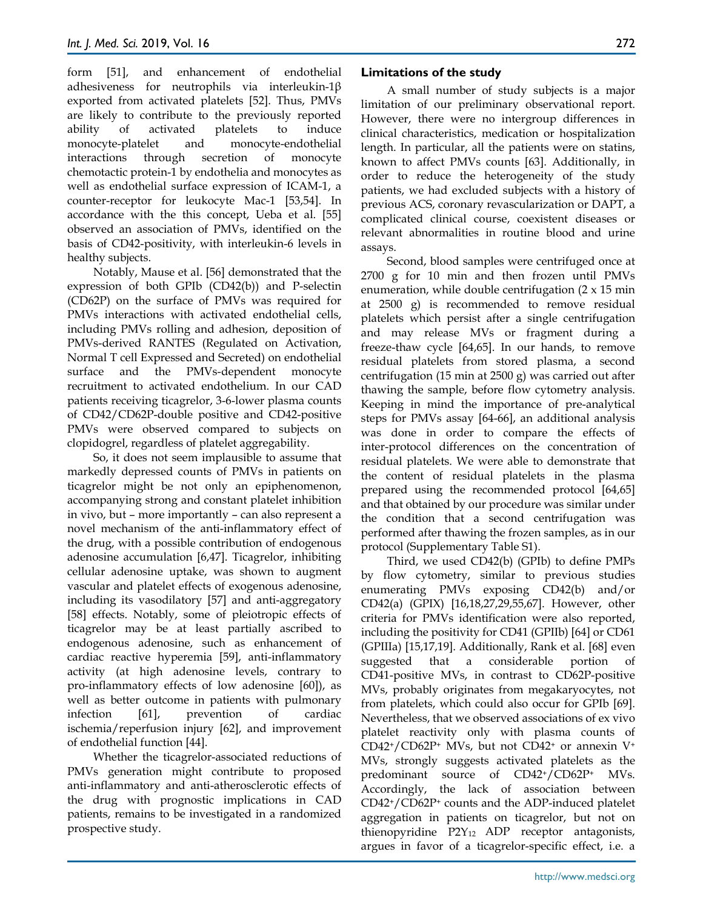form [51], and enhancement of endothelial adhesiveness for neutrophils via interleukin-1β exported from activated platelets [52]. Thus, PMVs are likely to contribute to the previously reported ability of activated platelets to induce monocyte-platelet and monocyte-endothelial interactions through secretion of monocyte chemotactic protein-1 by endothelia and monocytes as well as endothelial surface expression of ICAM-1, a counter-receptor for leukocyte Mac-1 [53,54]. In accordance with the this concept, Ueba et al. [55] observed an association of PMVs, identified on the basis of CD42-positivity, with interleukin-6 levels in healthy subjects.

Notably, Mause et al. [56] demonstrated that the expression of both GPIb (CD42(b)) and P-selectin (CD62P) on the surface of PMVs was required for PMVs interactions with activated endothelial cells, including PMVs rolling and adhesion, deposition of PMVs-derived RANTES (Regulated on Activation, Normal T cell Expressed and Secreted) on endothelial surface and the PMVs-dependent monocyte recruitment to activated endothelium. In our CAD patients receiving ticagrelor, 3-6-lower plasma counts of CD42/CD62P-double positive and CD42-positive PMVs were observed compared to subjects on clopidogrel, regardless of platelet aggregability.

So, it does not seem implausible to assume that markedly depressed counts of PMVs in patients on ticagrelor might be not only an epiphenomenon, accompanying strong and constant platelet inhibition in vivo, but – more importantly – can also represent a novel mechanism of the anti-inflammatory effect of the drug, with a possible contribution of endogenous adenosine accumulation [6,47]. Ticagrelor, inhibiting cellular adenosine uptake, was shown to augment vascular and platelet effects of exogenous adenosine, including its vasodilatory [57] and anti-aggregatory [58] effects. Notably, some of pleiotropic effects of ticagrelor may be at least partially ascribed to endogenous adenosine, such as enhancement of cardiac reactive hyperemia [59], anti-inflammatory activity (at high adenosine levels, contrary to pro-inflammatory effects of low adenosine [60]), as well as better outcome in patients with pulmonary infection [61], prevention of cardiac ischemia/reperfusion injury [62], and improvement of endothelial function [44].

Whether the ticagrelor-associated reductions of PMVs generation might contribute to proposed anti-inflammatory and anti-atherosclerotic effects of the drug with prognostic implications in CAD patients, remains to be investigated in a randomized prospective study.

#### **Limitations of the study**

A small number of study subjects is a major limitation of our preliminary observational report. However, there were no intergroup differences in clinical characteristics, medication or hospitalization length. In particular, all the patients were on statins, known to affect PMVs counts [63]. Additionally, in order to reduce the heterogeneity of the study patients, we had excluded subjects with a history of previous ACS, coronary revascularization or DAPT, a complicated clinical course, coexistent diseases or relevant abnormalities in routine blood and urine assays.

Second, blood samples were centrifuged once at 2700 g for 10 min and then frozen until PMVs enumeration, while double centrifugation (2 x 15 min at 2500 g) is recommended to remove residual platelets which persist after a single centrifugation and may release MVs or fragment during a freeze-thaw cycle [64,65]. In our hands, to remove residual platelets from stored plasma, a second centrifugation (15 min at 2500 g) was carried out after thawing the sample, before flow cytometry analysis. Keeping in mind the importance of pre-analytical steps for PMVs assay [64-66], an additional analysis was done in order to compare the effects of inter-protocol differences on the concentration of residual platelets. We were able to demonstrate that the content of residual platelets in the plasma prepared using the recommended protocol [64,65] and that obtained by our procedure was similar under the condition that a second centrifugation was performed after thawing the frozen samples, as in our protocol (Supplementary Table S1).

Third, we used CD42(b) (GPIb) to define PMPs by flow cytometry, similar to previous studies enumerating PMVs exposing CD42(b) and/or CD42(a) (GPIX) [16,18,27,29,55,67]. However, other criteria for PMVs identification were also reported, including the positivity for CD41 (GPIIb) [64] or CD61 (GPIIIa) [15,17,19]. Additionally, Rank et al. [68] even suggested that a considerable portion of CD41-positive MVs, in contrast to CD62P-positive MVs, probably originates from megakaryocytes, not from platelets, which could also occur for GPIb [69]. Nevertheless, that we observed associations of ex vivo platelet reactivity only with plasma counts of CD42+/CD62P+ MVs, but not CD42+ or annexin V+ MVs, strongly suggests activated platelets as the predominant source of CD42+/CD62P+ MVs. Accordingly, the lack of association between CD42+/CD62P+ counts and the ADP-induced platelet aggregation in patients on ticagrelor, but not on thienopyridine  $P2Y_{12}$  ADP receptor antagonists, argues in favor of a ticagrelor-specific effect, i.e. a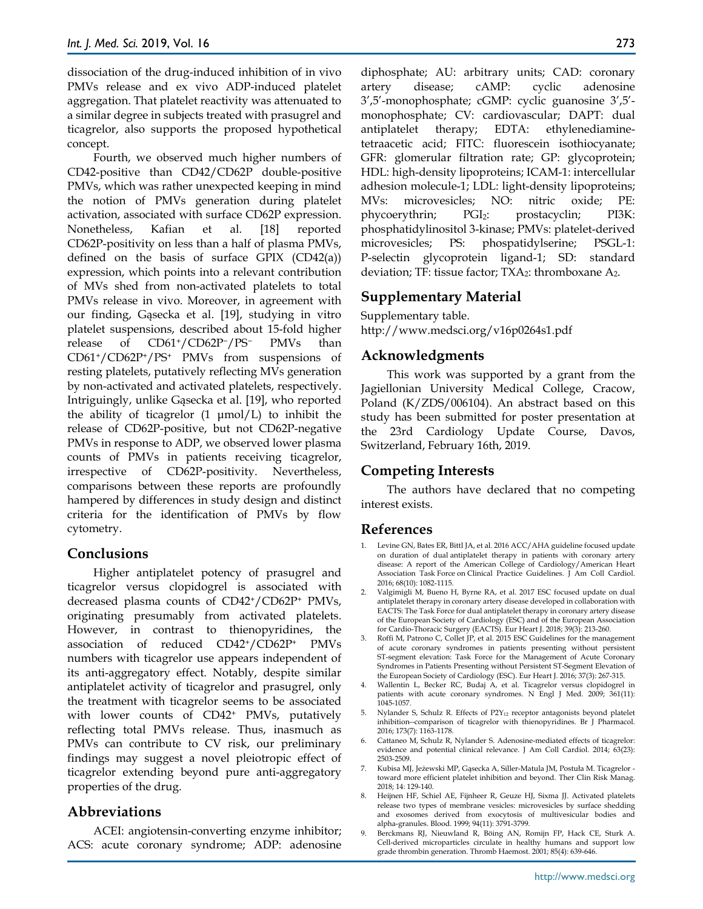dissociation of the drug-induced inhibition of in vivo PMVs release and ex vivo ADP-induced platelet aggregation. That platelet reactivity was attenuated to a similar degree in subjects treated with prasugrel and ticagrelor, also supports the proposed hypothetical concept.

Fourth, we observed much higher numbers of CD42-positive than CD42/CD62P double-positive PMVs, which was rather unexpected keeping in mind the notion of PMVs generation during platelet activation, associated with surface CD62P expression. Nonetheless, Kafian et al. [18] reported CD62P-positivity on less than a half of plasma PMVs, defined on the basis of surface GPIX (CD42(a)) expression, which points into a relevant contribution of MVs shed from non-activated platelets to total PMVs release in vivo. Moreover, in agreement with our finding, Gąsecka et al. [19], studying in vitro platelet suspensions, described about 15-fold higher release of CD61+/CD62P−/PS− PMVs than CD61+/CD62P+/PS+ PMVs from suspensions of resting platelets, putatively reflecting MVs generation by non-activated and activated platelets, respectively. Intriguingly, unlike Gąsecka et al. [19], who reported the ability of ticagrelor  $(1 \text{ \mu} \text{mol/L})$  to inhibit the release of CD62P-positive, but not CD62P-negative PMVs in response to ADP, we observed lower plasma counts of PMVs in patients receiving ticagrelor, irrespective of CD62P-positivity. Nevertheless, comparisons between these reports are profoundly hampered by differences in study design and distinct criteria for the identification of PMVs by flow cytometry.

## **Conclusions**

Higher antiplatelet potency of prasugrel and ticagrelor versus clopidogrel is associated with decreased plasma counts of CD42+/CD62P+ PMVs, originating presumably from activated platelets. However, in contrast to thienopyridines, the association of reduced CD42+/CD62P+ PMVs numbers with ticagrelor use appears independent of its anti-aggregatory effect. Notably, despite similar antiplatelet activity of ticagrelor and prasugrel, only the treatment with ticagrelor seems to be associated with lower counts of CD42+ PMVs, putatively reflecting total PMVs release. Thus, inasmuch as PMVs can contribute to CV risk, our preliminary findings may suggest a novel pleiotropic effect of ticagrelor extending beyond pure anti-aggregatory properties of the drug.

## **Abbreviations**

ACEI: angiotensin-converting enzyme inhibitor; ACS: acute coronary syndrome; ADP: adenosine diphosphate; AU: arbitrary units; CAD: coronary artery disease; cAMP: cyclic adenosine 3',5'-monophosphate; cGMP: cyclic guanosine 3',5' monophosphate; CV: cardiovascular; DAPT: dual antiplatelet therapy; EDTA: ethylenediaminetetraacetic acid; FITC: fluorescein isothiocyanate; GFR: glomerular filtration rate; GP: glycoprotein; HDL: high-density lipoproteins; ICAM-1: intercellular adhesion molecule-1; LDL: light-density lipoproteins; MVs: microvesicles; NO: nitric oxide; PE: phycoerythrin; PGI<sub>2</sub>: prostacyclin; PI3K: phosphatidylinositol 3-kinase; PMVs: platelet-derived microvesicles; PS: phospatidylserine; PSGL-1: P-selectin glycoprotein ligand-1; SD: standard deviation; TF: tissue factor;  $TXA_2$ : thromboxane  $A_2$ .

# **Supplementary Material**

Supplementary table. http://www.medsci.org/v16p0264s1.pdf

### **Acknowledgments**

This work was supported by a grant from the Jagiellonian University Medical College, Cracow, Poland (K/ZDS/006104). An abstract based on this study has been submitted for poster presentation at the 23rd Cardiology Update Course, Davos, Switzerland, February 16th, 2019.

## **Competing Interests**

The authors have declared that no competing interest exists.

#### **References**

- 1. Levine GN, Bates ER, Bittl JA, et al. 2016 ACC/AHA guideline focused update on duration of dual antiplatelet therapy in patients with coronary artery disease: A report of the American College of Cardiology/American Heart Association Task Force on Clinical Practice Guidelines. J Am Coll Cardiol. 2016; 68(10): 1082-1115.
- 2. Valgimigli M, Bueno H, Byrne RA, et al. 2017 ESC focused update on dual antiplatelet therapy in coronary artery disease developed in collaboration with EACTS: The Task Force for dual antiplatelet therapy in coronary artery disease of the European Society of Cardiology (ESC) and of the European Association for Cardio-Thoracic Surgery (EACTS). Eur Heart J. 2018; 39(3): 213-260.
- 3. Roffi M, Patrono C, Collet JP, et al. 2015 ESC Guidelines for the management of acute coronary syndromes in patients presenting without persistent ST-segment elevation: Task Force for the Management of Acute Coronary Syndromes in Patients Presenting without Persistent ST-Segment Elevation of the European Society of Cardiology (ESC). Eur Heart J. 2016; 37(3): 267-315.
- 4. Wallentin L, Becker RC, Budaj A, et al. Ticagrelor versus clopidogrel in patients with acute coronary syndromes. N Engl J Med. 2009; 361(11): 1045-1057.
- 5. Nylander S, Schulz R. Effects of P2Y<sub>12</sub> receptor antagonists beyond platelet inhibition--comparison of ticagrelor with thienopyridines. Br J Pharmacol. 2016; 173(7): 1163-1178.
- 6. Cattaneo M, Schulz R, Nylander S. Adenosine-mediated effects of ticagrelor: evidence and potential clinical relevance. J Am Coll Cardiol. 2014; 63(23): 2503-2509.
- 7. Kubisa MJ, Jeżewski MP, Gąsecka A, Siller-Matula JM, Postuła M. Ticagrelor toward more efficient platelet inhibition and beyond. Ther Clin Risk Manag. 2018; 14: 129-140.
- 8. Heijnen HF, Schiel AE, Fijnheer R, Geuze HJ, Sixma JJ. Activated platelets release two types of membrane vesicles: microvesicles by surface shedding and exosomes derived from exocytosis of multivesicular bodies and alpha-granules. Blood. 1999; 94(11): 3791-3799.
- 9. Berckmans RJ, Nieuwland R, Böing AN, Romijn FP, Hack CE, Sturk A. Cell-derived microparticles circulate in healthy humans and support low grade thrombin generation. Thromb Haemost. 2001; 85(4): 639-646.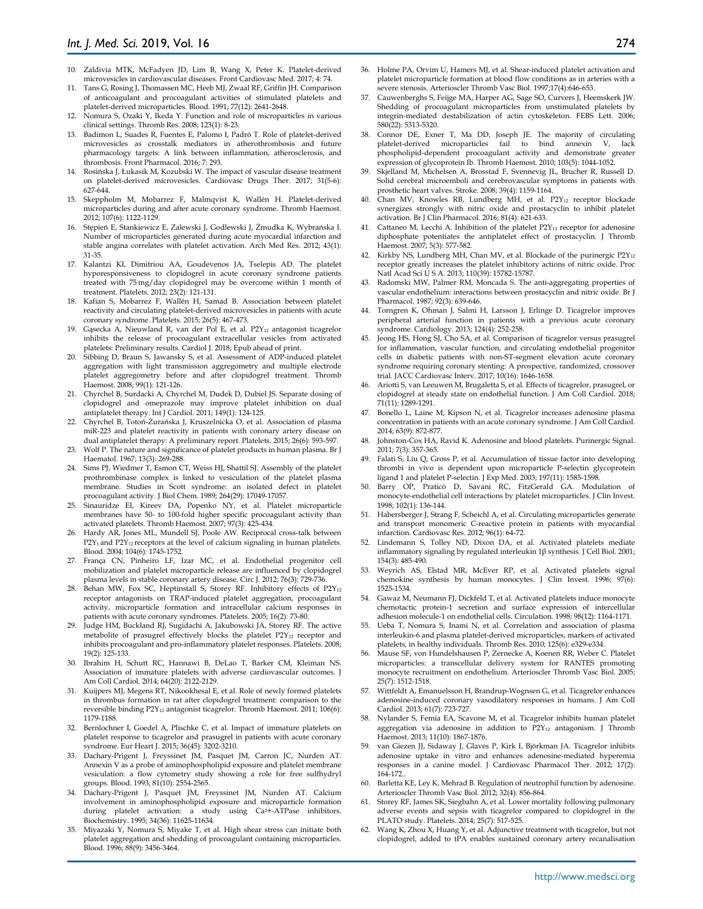- 10. Zaldivia MTK, McFadyen JD, Lim B, Wang X, Peter K. Platelet-derived microvesicles in cardiovascular diseases. Front Cardiovasc Med. 2017; 4: 74.
- 11. Tans G, Rosing J, Thomassen MC, Heeb MJ, Zwaal RF, Griffin JH. Comparison of anticoagulant and procoagulant activities of stimulated platelets and platelet-derived microparticles. Blood. 1991; 77(12): 2641-2648.
- 12. Nomura S, Ozaki Y, Ikeda Y. Function and role of microparticles in various clinical settings. Thromb Res. 2008; 123(1): 8-23.
- 13. Badimon L, Suades R, Fuentes E, Palomo I, Padró T. Role of platelet-derived microvesicles as crosstalk mediators in atherothrombosis and future pharmacology targets: A link between inflammation, atherosclerosis, and thrombosis. Front Pharmacol. 2016; 7: 293.
- 14. Rosińska J, Łukasik M, Kozubski W. The impact of vascular disease treatment on platelet-derived microvesicles. Cardiovasc Drugs Ther. 2017; 31(5-6): 627-644.
- 15. Skeppholm M, Mobarrez F, Malmqvist K, Wallén H. Platelet-derived microparticles during and after acute coronary syndrome. Thromb Haemost. 2012; 107(6): 1122-1129.
- 16. Stępień E, Stankiewicz E, Zalewski J, Godlewski J, Żmudka K, Wybrańska I. Number of microparticles generated during acute myocardial infarction and stable angina correlates with platelet activation. Arch Med Res. 2012; 43(1): 31-35.
- 17. Kalantzi KI, Dimitriou AA, Goudevenos JA, Tselepis AD. The platelet hyporesponsiveness to clopidogrel in acute coronary syndrome patients treated with 75 mg/day clopidogrel may be overcome within 1 month of treatment. Platelets. 2012; 23(2): 121-131.
- 18. Kafian S, Mobarrez F, Wallén H, Samad B. Association between platelet reactivity and circulating platelet-derived microvesicles in patients with acute coronary syndrome. Platelets. 2015; 26(5): 467-473.
- 19. Gąsecka A, Nieuwland R, van der Pol E, et al. P2Y<sup>12</sup> antagonist ticagrelor inhibits the release of procoagulant extracellular vesicles from activated platelets: Preliminary results. Cardiol J. 2018; Epub ahead of print.
- Sibbing D, Braun S, Jawansky S, et al. Assessment of ADP-induced platelet aggregation with light transmission aggregometry and multiple electrode platelet aggregometry before and after clopidogrel treatment. Thromb Haemost. 2008; 99(1): 121-126.
- 21. Chyrchel B, Surdacki A, Chyrchel M, Dudek D, Dubiel JS. Separate dosing of clopidogrel and omeprazole may improve platelet inhibition on dual antiplatelet therapy. Int J Cardiol. 2011; 149(1): 124-125.
- 22. Chyrchel B, Totoń-Żurańska J, Kruszelnicka O, et al. Association of plasma miR-223 and platelet reactivity in patients with coronary artery disease on dual antiplatelet therapy: A preliminary report. Platelets. 2015; 26(6): 593-597.
- 23. Wolf P. The nature and significance of platelet products in human plasma. Br J Haematol. 1967; 13(3): 269-288.
- 24. Sims PJ, Wiedmer T, Esmon CT, Weiss HJ, Shattil SJ. Assembly of the platelet prothrombinase complex is linked to vesiculation of the platelet plasma membrane. Studies in Scott syndrome: an isolated defect in platelet procoagulant activity. J Biol Chem. 1989; 264(29): 17049-17057.
- 25. Sinauridze EI, Kireev DA, Popenko NY, et al. Platelet microparticle membranes have 50- to 100-fold higher specific procoagulant activity than activated platelets. Thromb Haemost. 2007; 97(3): 425-434.
- 26. Hardy AR, Jones ML, Mundell SJ, Poole AW. Reciprocal cross-talk between P2Y<sub>1</sub> and P2Y<sub>12</sub> receptors at the level of calcium signaling in human platelets. Blood. 2004; 104(6): 1745-1752.
- 27. França CN, Pinheiro LF, Izar MC, et al. Endothelial progenitor cell mobilization and platelet microparticle release are influenced by clopidogrel plasma levels in stable coronary artery disease. Circ J. 2012; 76(3): 729-736.
- 28. Behan MW, Fox SC, Heptinstall S, Storey RF. Inhibitory effects of P2Y<sub>12</sub> receptor antagonists on TRAP-induced platelet aggregation, procoagulant activity, microparticle formation and intracellular calcium responses in patients with acute coronary syndromes. Platelets. 2005; 16(2): 73-80.
- 29. Judge HM, Buckland RJ, Sugidachi A, Jakubowski JA, Storey RF. The active metabolite of prasugrel effectively blocks the platelet P2Y<sub>12</sub> receptor and inhibits procoagulant and pro-inflammatory platelet responses. Platelets. 2008; 19(2): 125-133.
- 30. Ibrahim H, Schutt RC, Hannawi B, DeLao T, Barker CM, Kleiman NS. Association of immature platelets with adverse cardiovascular outcomes. J Am Coll Cardiol. 2014; 64(20): 2122-2129.
- 31. Kuijpers MJ, Megens RT, Nikookhesal E, et al. Role of newly formed platelets in thrombus formation in rat after clopidogrel treatment: comparison to the reversible binding P2Y<sub>12</sub> antagonist ticagrelor. Thromb Haemost. 2011; 106(6): 1179-1188.
- 32. Bernlochner I, Goedel A, Plischke C, et al. Impact of immature platelets on platelet response to ticagrelor and prasugrel in patients with acute coronary syndrome. Eur Heart J. 2015; 36(45): 3202-3210.
- 33. Dachary-Prigent J, Freyssinet JM, Pasquet JM, Carron JC, Nurden AT. Annexin V as a probe of aminophospholipid exposure and platelet membrane vesiculation: a flow cytometry study showing a role for free sulfhydryl groups. Blood. 1993; 81(10): 2554-2565.
- 34. Dachary-Prigent J, Pasquet JM, Freyssinet JM, Nurden AT. Calcium involvement in aminophospholipid exposure and microparticle formation during platelet activation: a study using Ca<sup>2+</sup>-ATPase inhibitors. Biochemistry. 1995; 34(36): 11625-11634.
- 35. Miyazaki Y, Nomura S, Miyake T, et al. High shear stress can initiate both platelet aggregation and shedding of procoagulant containing microparticles. Blood. 1996; 88(9): 3456-3464.
- 36. Holme PA, Orvim U, Hamers MJ, et al. Shear-induced platelet activation and platelet microparticle formation at blood flow conditions as in arteries with a severe stenosis. Arterioscler Thromb Vasc Biol. 1997;17(4):646-653.
- 37. Cauwenberghs S, Feijge MA, Harper AG, Sage SO, Curvers J, Heemskerk JW. Shedding of procoagulant microparticles from unstimulated platelets by integrin-mediated destabilization of actin cytoskeleton. FEBS Lett. 2006; 580(22): 5313-5320.
- 38. Connor DE, Exner T, Ma DD, Joseph JE. The majority of circulating platelet-derived microparticles fail to bind annexin V, lack phospholipid-dependent procoagulant activity and demonstrate greater expression of glycoprotein Ib. Thromb Haemost. 2010; 103(5): 1044-1052.
- 39. Skjelland M, Michelsen A, Brosstad F, Svennevig JL, Brucher R, Russell D. Solid cerebral microemboli and cerebrovascular symptoms in patients with prosthetic heart valves. Stroke. 2008; 39(4): 1159-1164.
- 40. Chan MV, Knowles RB, Lundberg MH, et al. P2Y<sub>12</sub> receptor blockade synergizes strongly with nitric oxide and prostacyclin to inhibit platelet activation. Br J Clin Pharmacol. 2016; 81(4): 621-633.
- 41. Cattaneo M, Lecchi A. Inhibition of the platelet  $P2Y_{12}$  receptor for adenosine diphosphate potentiates the antiplatelet effect of prostacyclin. J Thromb Haemost. 2007; 5(3): 577-582.
- 42. Kirkby NS, Lundberg MH, Chan MV, et al. Blockade of the purinergic P2Y<sub>12</sub> receptor greatly increases the platelet inhibitory actions of nitric oxide. Proc Natl Acad Sci U S A. 2013; 110(39): 15782-15787.
- 43. Radomski MW, Palmer RM, Moncada S. The anti-aggregating properties of vascular endothelium: interactions between prostacyclin and nitric oxide. Br J Pharmacol. 1987; 92(3): 639-646.
- 44. Torngren K, Ohman J, Salmi H, Larsson J, Erlinge D. Ticagrelor improves peripheral arterial function in patients with a previous acute coronary syndrome. Cardiology. 2013; 124(4): 252-258.
- Jeong HS, Hong SJ, Cho SA, et al. Comparison of ticagrelor versus prasugrel for inflammation, vascular function, and circulating endothelial progenitor cells in diabetic patients with non-ST-segment elevation acute coronary syndrome requiring coronary stenting: A prospective, randomized, crossover trial. JACC Cardiovasc Interv. 2017; 10(16): 1646-1658.
- 46. Ariotti S, van Leeuwen M, Brugaletta S, et al. Effects of ticagrelor, prasugrel, or clopidogrel at steady state on endothelial function. J Am Coll Cardiol. 2018; 71(11): 1289-1291.
- 47. Bonello L, Laine M, Kipson N, et al. Ticagrelor increases adenosine plasma concentration in patients with an acute coronary syndrome. J Am Coll Cardiol. 2014; 63(9): 872-877.
- 48. Johnston-Cox HA, Ravid K. Adenosine and blood platelets. Purinergic Signal. 2011; 7(3): 357-365.
- 49. Falati S, Liu Q, Gross P, et al. Accumulation of tissue factor into developing thrombi in vivo is dependent upon microparticle P-selectin glycoprotein ligand 1 and platelet P-selectin. J Exp Med. 2003; 197(11): 1585-1598.
- 50. Barry OP, Praticò D, Savani RC, FitzGerald GA. Modulation of monocyte-endothelial cell interactions by platelet microparticles. J Clin Invest. 1998; 102(1): 136-144.
- 51. Habersberger J, Strang F, Scheichl A, et al. Circulating microparticles generate and transport monomeric C-reactive protein in patients with myocardial infarction. Cardiovasc Res. 2012; 96(1): 64-72.
- 52. Lindemann S, Tolley ND, Dixon DA, et al. Activated platelets mediate inflammatory signaling by regulated interleukin 1β synthesis. J Cell Biol. 2001; 154(3): 485-490.
- 53. Weyrich AS, Elstad MR, McEver RP, et al. Activated platelets signal chemokine synthesis by human monocytes. J Clin Invest. 1996; 97(6): 1525-1534.
- 54. Gawaz M, Neumann FJ, Dickfeld T, et al. Activated platelets induce monocyte chemotactic protein-1 secretion and surface expression of intercellular adhesion molecule-1 on endothelial cells. Circulation. 1998; 98(12): 1164-1171.
- 55. Ueba T, Nomura S, Inami N, et al. Correlation and association of plasma interleukin-6 and plasma platelet-derived microparticles, markers of activated platelets, in healthy individuals. Thromb Res. 2010; 125(6): e329-e334.
- 56. Mause SF, von Hundelshausen P, Zernecke A, Koenen RR, Weber C. Platelet microparticles: a transcellular delivery system for RANTES promoting monocyte recruitment on endothelium. Arterioscler Thromb Vasc Biol. 2005; 25(7): 1512-1518.
- 57. Wittfeldt A, Emanuelsson H, Brandrup-Wognsen G, et al. Ticagrelor enhances adenosine-induced coronary vasodilatory responses in humans. J Am Coll Cardiol. 2013; 61(7): 723-727.
- 58. Nylander S, Femia EA, Scavone M, et al. Ticagrelor inhibits human platelet aggregation via adenosine in addition to  $\overline{P2Y_{12}}$  antagonism. J Thromb Haemost. 2013; 11(10): 1867-1876.
- 59. van Giezen JJ, Sidaway J, Glaves P, Kirk I, Björkman JA. Ticagrelor inhibits adenosine uptake in vitro and enhances adenosine-mediated hyperemia responses in a canine model. J Cardiovasc Pharmacol Ther. 2012; 17(2): 164-172..
- 60. Barletta KE, Ley K, Mehrad B. Regulation of neutrophil function by adenosine. Arterioscler Thromb Vasc Biol. 2012; 32(4): 856-864.
- 61. Storey RF, James SK, Siegbahn A, et al. Lower mortality following pulmonary adverse events and sepsis with ticagrelor compared to clopidogrel in the PLATO study. Platelets. 2014; 25(7): 517-525.
- 62. Wang K, Zhou X, Huang Y, et al. Adjunctive treatment with ticagrelor, but not clopidogrel, added to tPA enables sustained coronary artery recanalisation